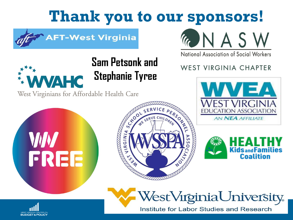# **Thank you to our sponsors!**



#### **AFT-West Virginia**

**Sam Petsonk and**

**Stephanie Tyree**



National Association of Social Workers

### **WEST VIRGINIA CHAPTER**







Institute for Labor Studies and Research



West Virginians for Affordable Health Care





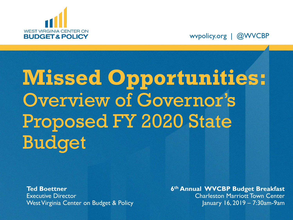

wvpolicy.org | @WVCBP

# **Missed Opportunities:**  Overview of Governor's Proposed FY 2020 State Budget

**Ted Boettner** Executive Director West Virginia Center on Budget & Policy **6 th Annual WVCBP Budget Breakfast**  Charleston Marriott Town Center January 16, 2019 – 7:30am-9am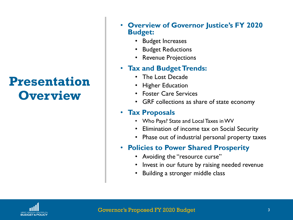### **Presentation Overview**

- **Overview of Governor Justice's FY 2020 Budget:** 
	- Budget Increases
	- Budget Reductions
	- Revenue Projections

#### • **Tax and Budget Trends:**

- The Lost Decade
- Higher Education
- Foster Care Services
- GRF collections as share of state economy

#### • **Tax Proposals**

- Who Pays? State and Local Taxes in WV
- Elimination of income tax on Social Security
- Phase out of industrial personal property taxes

#### • **Policies to Power Shared Prosperity**

- Avoiding the "resource curse"
- Invest in our future by raising needed revenue
- Building a stronger middle class

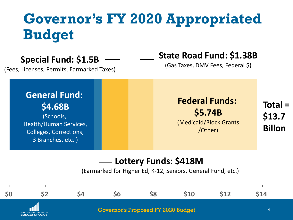# **Governor's FY 2020 Appropriated Budget**

| <b>Special Fund: \$1.5B</b><br>(Fees, Licenses, Permits, Earmarked Taxes)                                                    |  | <b>State Road Fund: \$1.38B</b><br>(Gas Taxes, DMV Fees, Federal \$)                  |                                      |
|------------------------------------------------------------------------------------------------------------------------------|--|---------------------------------------------------------------------------------------|--------------------------------------|
| <b>General Fund:</b><br>\$4.68B<br>(Schools,<br><b>Health/Human Services,</b><br>Colleges, Corrections,<br>3 Branches, etc.) |  | <b>Federal Funds:</b><br>\$5.74B<br>(Medicaid/Block Grants<br>/Other)                 | $Total =$<br>\$13.7<br><b>Billon</b> |
|                                                                                                                              |  | Lottery Funds: \$418M<br>(Earmarked for Higher Ed, K-12, Seniors, General Fund, etc.) |                                      |

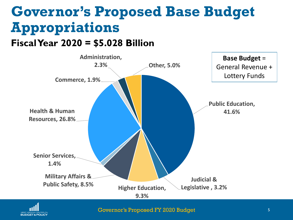### **Governor's Proposed Base Budget Appropriations Fiscal Year 2020 = \$5.028 Billion**





Governor's Proposed FY 2020 Budget 5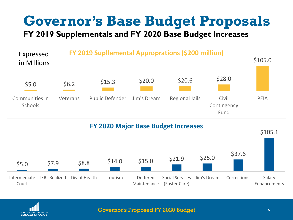# **Governor's Base Budget Proposals**

**FY 2019 Supplementals and FY 2020 Base Budget Increases**



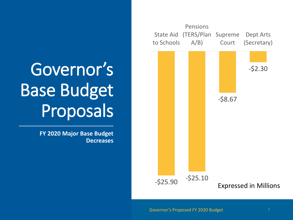

# Governor's Base Budget Proposals

**FY 2020 Major Base Budget Decreases**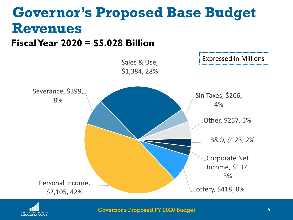# **Governor's Proposed Base Budget Revenues**

### **Fiscal Year 2020 = \$5.028 Billion**





Governor's Proposed FY 2020 Budget 8 and 8 and 8 and 8 and 8 and 8 and 8 and 8 and 8 and 8 and 8 and 8 and 8 and 8 and 8 and 8 and 8 and 8 and 8 and 8 and 8 and 8 and 8 and 8 and 8 and 8 and 8 and 8 and 8 and 8 and 8 and 8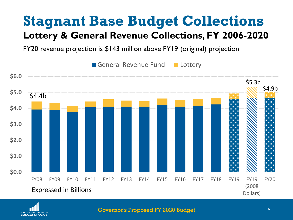### **Stagnant Base Budget Collections Lottery & General Revenue Collections, FY 2006-2020**

FY20 revenue projection is \$143 million above FY19 (original) projection





Governor's Proposed FY 2020 Budget 9 and 100 million 9 and 9 and 9 and 9 and 9 and 9 and 9 and 9 and 9 and 9 and 9 and 9 and 9 and 9 and 9 and 9 and 9 and 9 and 9 and 9 and 9 and 9 and 9 and 9 and 9 and 9 and 9 and 9 and 9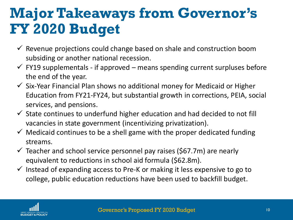# **Major Takeaways from Governor's FY 2020 Budget**

- $\checkmark$  Revenue projections could change based on shale and construction boom subsiding or another national recession.
- $\checkmark$  FY19 supplementals if approved means spending current surpluses before the end of the year.
- $\checkmark$  Six-Year Financial Plan shows no additional money for Medicaid or Higher Education from FY21-FY24, but substantial growth in corrections, PEIA, social services, and pensions.
- $\checkmark$  State continues to underfund higher education and had decided to not fill vacancies in state government (incentivizing privatization).
- $\checkmark$  Medicaid continues to be a shell game with the proper dedicated funding streams.
- $\checkmark$  Teacher and school service personnel pay raises (\$67.7m) are nearly equivalent to reductions in school aid formula (\$62.8m).
- $\checkmark$  Instead of expanding access to Pre-K or making it less expensive to go to college, public education reductions have been used to backfill budget.

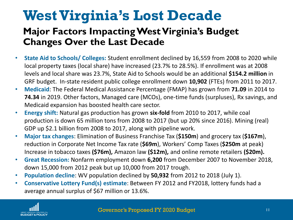## **West Virginia's Lost Decade**

### **Major Factors Impacting West Virginia's Budget Changes Over the Last Decade**

- **State Aid to Schools/ Colleges:** Student enrollment declined by 16,559 from 2008 to 2020 while local property taxes (local share) have increased (23.7% to 28.5%). If enrollment was at 2008 levels and local share was 23.7%, State Aid to Schools would be an additional **\$154.2 million** in GRF budget. In-state resident public college enrollment down **10,902** (FTEs) from 2011 to 2017.
- **Medicaid**: The Federal Medical Assistance Percentage (FMAP) has grown from **71.09** in 2014 to **74.34** in 2019. Other factors, Managed care (MCOs), one-time funds (surpluses), Rx savings, and Medicaid expansion has boosted health care sector.
- **Energy shift:** Natural gas production has grown **six-fold** from 2010 to 2017, while coal production is down 65 million tons from 2008 to 2017 (but up 20% since 2016). Mining (real) GDP up \$2.1 billion from 2008 to 2017, along with pipeline work.
- **Major tax changes**: Elimination of Business Franchise Tax (**\$150m**) and grocery tax (**\$167m**), reduction in Corporate Net Income Tax rate (**\$69m**), Workers' Comp Taxes (**\$250m** at peak) Increase in tobacco taxes **(\$76m),** Amazon law **(\$12m),** and online remote retailers **(\$20m).**
- **Great Recession:** Nonfarm employment down **6,200** from December 2007 to November 2018, down 15,000 from 2012 peak but up 10,000 from 2017 trough.
- **Population decline**: WV population declined by **50,932** from 2012 to 2018 (July 1).
- **Conservative Lottery Fund(s) estimate**: Between FY 2012 and FY2018, lottery funds had a average annual surplus of \$67 million or 13.6%.

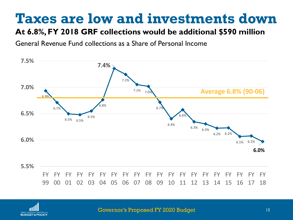### **Taxes are low and investments down**

#### **At 6.8%, FY 2018 GRF collections would be additional \$590 million**

General Revenue Fund collections as a Share of Personal Income





Governor's Proposed FY 2020 Budget 12 12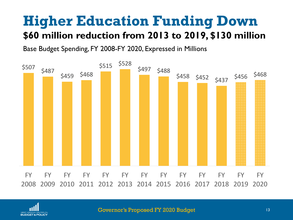### **Higher Education Funding Down \$60 million reduction from 2013 to 2019, \$130 million**

Base Budget Spending, FY 2008-FY 2020, Expressed in Millions



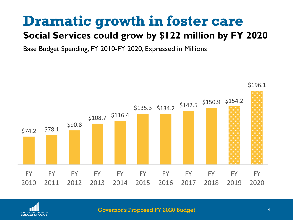# **Dramatic growth in foster care**

### **Social Services could grow by \$122 million by FY 2020**

Base Budget Spending, FY 2010-FY 2020, Expressed in Millions





Governor's Proposed FY 2020 Budget 14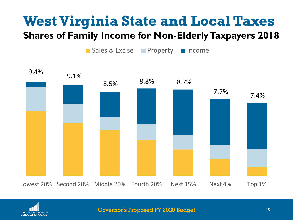# **West Virginia State and Local Taxes**

### **Shares of Family Income for Non-Elderly Taxpayers 2018**

■ Sales & Excise ■ Property ■ Income





Governor's Proposed FY 2020 Budget 15 15 15 15 15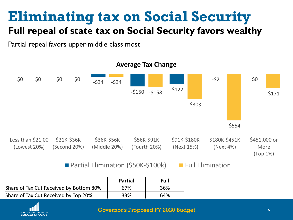# **Eliminating tax on Social Security**

### **Full repeal of state tax on Social Security favors wealthy**

Partial repeal favors upper-middle class most



|                                         | <b>Partial</b> | Full |
|-----------------------------------------|----------------|------|
| Share of Tax Cut Received by Bottom 80% | 67%            | 36%  |
| Share of Tax Cut Received by Top 20%    | 33%            | 64%  |



#### Governor's Proposed FY 2020 Budget 16 16 16 16 16 16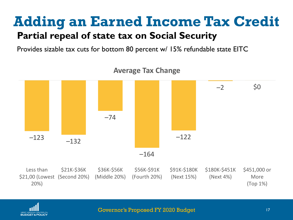### **Adding an Earned Income Tax Credit Partial repeal of state tax on Social Security**

Provides sizable tax cuts for bottom 80 percent w/ 15% refundable state EITC



**Average Tax Change**



Governor's Proposed FY 2020 Budget 17 17 17 17 17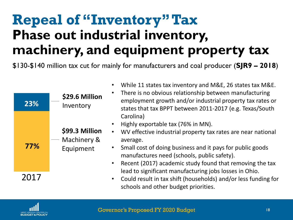## **Repeal of "Inventory" Tax Phase out industrial inventory, machinery, and equipment property tax**

\$130-\$140 million tax cut for mainly for manufacturers and coal producer (**SJR9 – 2018**)

• While 11 states tax inventory and M&E, 26 states tax M&E.

|      |                               | <u>VIIIIC II SIALES LAA IHVEHLUI V AHU IVIQL, ZU SIALES LAA IVIQL.</u><br>There is no obvious relationship between manufacturing |
|------|-------------------------------|----------------------------------------------------------------------------------------------------------------------------------|
| 23%  | \$29.6 Million<br>Inventory   | employment growth and/or industrial property tax rates or<br>states that tax BPPT between 2011-2017 (e.g. Texas/South            |
|      |                               | Carolina)<br>Highly exportable tax (76% in MN).<br>$\bullet$                                                                     |
|      | \$99.3 Million<br>Machinery & | WV effective industrial property tax rates are near national<br>$\bullet$<br>average.                                            |
| 77%  | Equipment                     | Small cost of doing business and it pays for public goods<br>manufactures need (schools, public safety).                         |
|      |                               | • Recent (2017) academic study found that removing the tax<br>lead to significant manufacturing jobs losses in Ohio.             |
| 2017 |                               | • Could result in tax shift (households) and/or less funding for<br>schools and other budget priorities.                         |

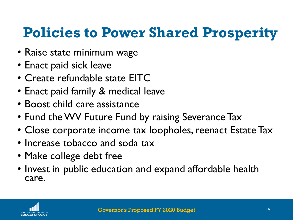# **Policies to Power Shared Prosperity**

- Raise state minimum wage
- Enact paid sick leave
- Create refundable state EITC
- Enact paid family & medical leave
- Boost child care assistance
- Fund the WV Future Fund by raising Severance Tax
- Close corporate income tax loopholes, reenact Estate Tax
- Increase tobacco and soda tax
- Make college debt free
- Invest in public education and expand affordable health care.

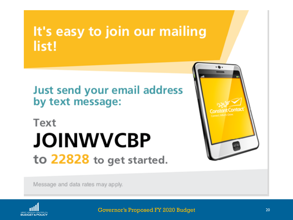### It's easy to join our mailing list!

**Just send your email address** by text message:

# Text **JOINWVCBP** to 22828 to get started.



Message and data rates may apply.



Governor's Proposed FY 2020 Budget 20 and 20 and 20